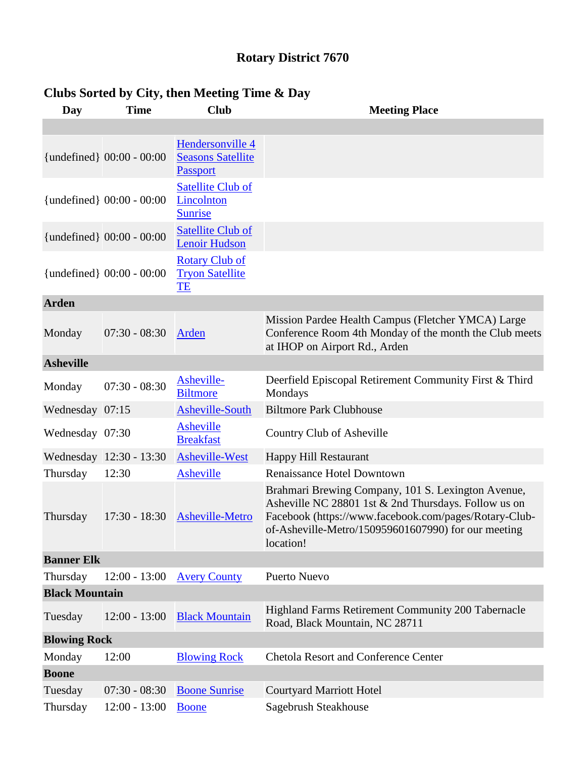## **Rotary District 7670**

| Day                   | <b>Time</b>                 | <b>Club</b>                                                  | <b>Meeting Place</b>                                                                                                                                                                                                                    |  |  |  |
|-----------------------|-----------------------------|--------------------------------------------------------------|-----------------------------------------------------------------------------------------------------------------------------------------------------------------------------------------------------------------------------------------|--|--|--|
|                       |                             |                                                              |                                                                                                                                                                                                                                         |  |  |  |
|                       | {undefined} $00:00 - 00:00$ | Hendersonville 4<br><b>Seasons Satellite</b><br>Passport     |                                                                                                                                                                                                                                         |  |  |  |
|                       | {undefined} 00:00 - 00:00   | <b>Satellite Club of</b><br>Lincolnton<br><b>Sunrise</b>     |                                                                                                                                                                                                                                         |  |  |  |
|                       | {undefined} 00:00 - 00:00   | <b>Satellite Club of</b><br><b>Lenoir Hudson</b>             |                                                                                                                                                                                                                                         |  |  |  |
|                       | {undefined} $00:00 - 00:00$ | <b>Rotary Club of</b><br><b>Tryon Satellite</b><br><b>TE</b> |                                                                                                                                                                                                                                         |  |  |  |
| <b>Arden</b>          |                             |                                                              |                                                                                                                                                                                                                                         |  |  |  |
| Monday                | $07:30 - 08:30$             | Arden                                                        | Mission Pardee Health Campus (Fletcher YMCA) Large<br>Conference Room 4th Monday of the month the Club meets<br>at IHOP on Airport Rd., Arden                                                                                           |  |  |  |
| <b>Asheville</b>      |                             |                                                              |                                                                                                                                                                                                                                         |  |  |  |
| Monday                | $07:30 - 08:30$             | Asheville-<br><b>Biltmore</b>                                | Deerfield Episcopal Retirement Community First & Third<br>Mondays                                                                                                                                                                       |  |  |  |
| Wednesday 07:15       |                             | <b>Asheville-South</b>                                       | <b>Biltmore Park Clubhouse</b>                                                                                                                                                                                                          |  |  |  |
| Wednesday 07:30       |                             | Asheville<br><b>Breakfast</b>                                | Country Club of Asheville                                                                                                                                                                                                               |  |  |  |
|                       | Wednesday 12:30 - 13:30     | Asheville-West                                               | Happy Hill Restaurant                                                                                                                                                                                                                   |  |  |  |
| Thursday              | 12:30                       | Asheville                                                    | <b>Renaissance Hotel Downtown</b>                                                                                                                                                                                                       |  |  |  |
| Thursday              | $17:30 - 18:30$             | Asheville-Metro                                              | Brahmari Brewing Company, 101 S. Lexington Avenue,<br>Asheville NC 28801 1st & 2nd Thursdays. Follow us on<br>Facebook (https://www.facebook.com/pages/Rotary-Club-<br>of-Asheville-Metro/150959601607990) for our meeting<br>location! |  |  |  |
| <b>Banner Elk</b>     |                             |                                                              |                                                                                                                                                                                                                                         |  |  |  |
| Thursday              | $12:00 - 13:00$             | <b>Avery County</b>                                          | <b>Puerto Nuevo</b>                                                                                                                                                                                                                     |  |  |  |
| <b>Black Mountain</b> |                             |                                                              |                                                                                                                                                                                                                                         |  |  |  |
| Tuesday               | $12:00 - 13:00$             | <b>Black Mountain</b>                                        | Highland Farms Retirement Community 200 Tabernacle<br>Road, Black Mountain, NC 28711                                                                                                                                                    |  |  |  |
| <b>Blowing Rock</b>   |                             |                                                              |                                                                                                                                                                                                                                         |  |  |  |
| Monday                | 12:00                       | <b>Blowing Rock</b>                                          | <b>Chetola Resort and Conference Center</b>                                                                                                                                                                                             |  |  |  |
| <b>Boone</b>          |                             |                                                              |                                                                                                                                                                                                                                         |  |  |  |
| Tuesday               | $07:30 - 08:30$             | <b>Boone Sunrise</b>                                         | <b>Courtyard Marriott Hotel</b>                                                                                                                                                                                                         |  |  |  |
| Thursday              | $12:00 - 13:00$             | <b>Boone</b>                                                 | Sagebrush Steakhouse                                                                                                                                                                                                                    |  |  |  |

## **Clubs Sorted by City, then Meeting Time & Day**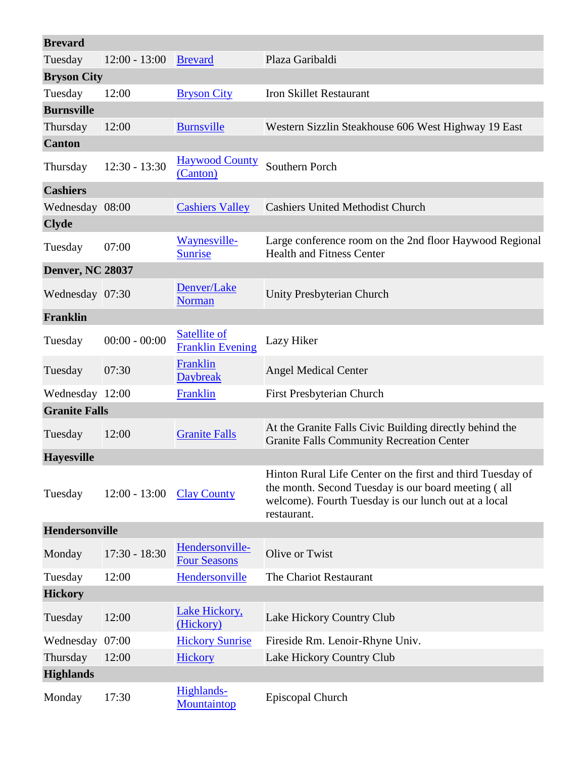| <b>Brevard</b>          |                 |                                         |                                                                                                                                                                                          |  |  |  |
|-------------------------|-----------------|-----------------------------------------|------------------------------------------------------------------------------------------------------------------------------------------------------------------------------------------|--|--|--|
| Tuesday                 | $12:00 - 13:00$ | <b>Brevard</b>                          | Plaza Garibaldi                                                                                                                                                                          |  |  |  |
| <b>Bryson City</b>      |                 |                                         |                                                                                                                                                                                          |  |  |  |
| Tuesday                 | 12:00           | <b>Bryson City</b>                      | <b>Iron Skillet Restaurant</b>                                                                                                                                                           |  |  |  |
| <b>Burnsville</b>       |                 |                                         |                                                                                                                                                                                          |  |  |  |
| Thursday                | 12:00           | <b>Burnsville</b>                       | Western Sizzlin Steakhouse 606 West Highway 19 East                                                                                                                                      |  |  |  |
| <b>Canton</b>           |                 |                                         |                                                                                                                                                                                          |  |  |  |
| Thursday                | $12:30 - 13:30$ | <b>Haywood County</b><br>(Canton)       | Southern Porch                                                                                                                                                                           |  |  |  |
| <b>Cashiers</b>         |                 |                                         |                                                                                                                                                                                          |  |  |  |
| Wednesday 08:00         |                 | <b>Cashiers Valley</b>                  | <b>Cashiers United Methodist Church</b>                                                                                                                                                  |  |  |  |
| <b>Clyde</b>            |                 |                                         |                                                                                                                                                                                          |  |  |  |
| Tuesday                 | 07:00           | Waynesville-<br><b>Sunrise</b>          | Large conference room on the 2nd floor Haywood Regional<br><b>Health and Fitness Center</b>                                                                                              |  |  |  |
| <b>Denver, NC 28037</b> |                 |                                         |                                                                                                                                                                                          |  |  |  |
| Wednesday 07:30         |                 | Denver/Lake<br><b>Norman</b>            | Unity Presbyterian Church                                                                                                                                                                |  |  |  |
| Franklin                |                 |                                         |                                                                                                                                                                                          |  |  |  |
| Tuesday                 | $00:00 - 00:00$ | Satellite of<br><b>Franklin Evening</b> | Lazy Hiker                                                                                                                                                                               |  |  |  |
| Tuesday                 | 07:30           | Franklin<br><b>Daybreak</b>             | <b>Angel Medical Center</b>                                                                                                                                                              |  |  |  |
| Wednesday 12:00         |                 | Franklin                                | First Presbyterian Church                                                                                                                                                                |  |  |  |
| <b>Granite Falls</b>    |                 |                                         |                                                                                                                                                                                          |  |  |  |
| Tuesday                 | 12:00           | <b>Granite Falls</b>                    | At the Granite Falls Civic Building directly behind the<br><b>Granite Falls Community Recreation Center</b>                                                                              |  |  |  |
| <b>Havesville</b>       |                 |                                         |                                                                                                                                                                                          |  |  |  |
| Tuesday                 | $12:00 - 13:00$ | <b>Clay County</b>                      | Hinton Rural Life Center on the first and third Tuesday of<br>the month. Second Tuesday is our board meeting (all<br>welcome). Fourth Tuesday is our lunch out at a local<br>restaurant. |  |  |  |
| <b>Hendersonville</b>   |                 |                                         |                                                                                                                                                                                          |  |  |  |
| Monday                  | $17:30 - 18:30$ | Hendersonville-<br><b>Four Seasons</b>  | Olive or Twist                                                                                                                                                                           |  |  |  |
| Tuesday                 | 12:00           | Hendersonville                          | The Chariot Restaurant                                                                                                                                                                   |  |  |  |
| <b>Hickory</b>          |                 |                                         |                                                                                                                                                                                          |  |  |  |
| Tuesday                 | 12:00           | Lake Hickory,<br>(Hickory)              | Lake Hickory Country Club                                                                                                                                                                |  |  |  |
| Wednesday 07:00         |                 | <b>Hickory Sunrise</b>                  | Fireside Rm. Lenoir-Rhyne Univ.                                                                                                                                                          |  |  |  |
| Thursday                | 12:00           | Hickory                                 | Lake Hickory Country Club                                                                                                                                                                |  |  |  |
| <b>Highlands</b>        |                 |                                         |                                                                                                                                                                                          |  |  |  |
| Monday                  | 17:30           | Highlands-<br>Mountaintop               | Episcopal Church                                                                                                                                                                         |  |  |  |